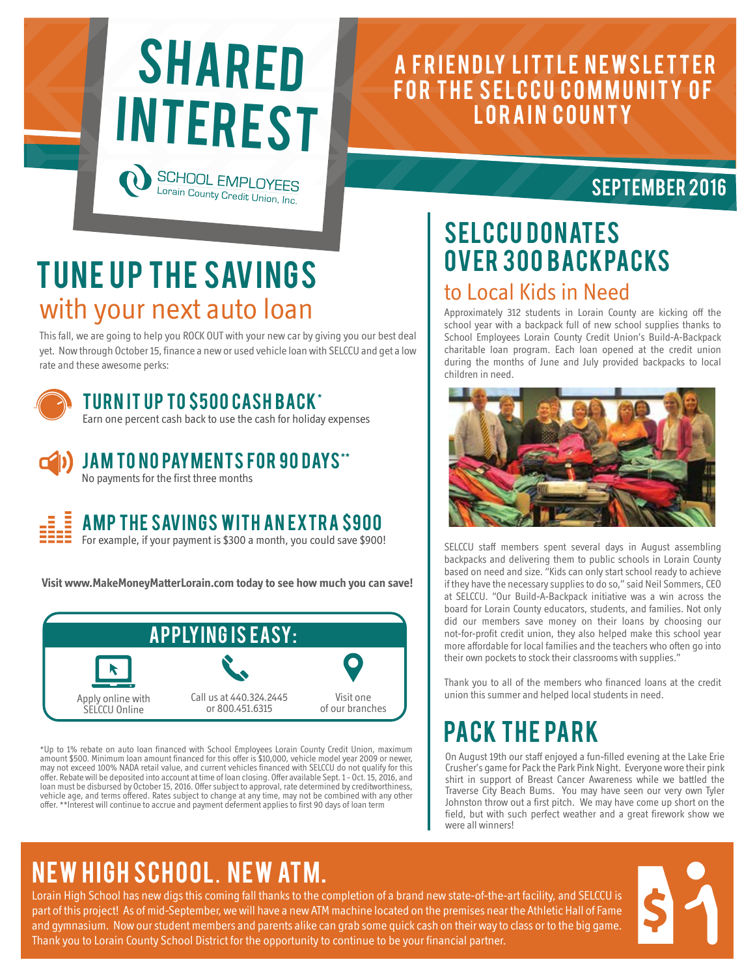

Lorain County Credit Union, Inc.

## A FRIENDLY LITTLE NEWSLETTER FOR THE SELCCU COMMUNITY OF LORAIN COUNTY

### September 2016

# TUNE UP THE SAVINGS with your next auto loan

This fall, we are going to help you ROCK OUT with your new car by giving you our best deal yet. Now through October 15, finance a new or used vehicle loan with SELCCU and get a low rate and these awesome perks:



### TURN IT UP TO \$500 CASH BACK\*

Earn one percent cash back to use the cash for holiday expenses



JAM TO NO PAYMENTS FOR 90 DAYS\*\*

No payments for the first three months



### AMP THE SAVINGS WITH AN EXTRA \$900

For example, if your payment is \$300 a month, you could save \$900!

**Visit www.MakeMoneyMatterLorain.com today to see how much you can save!** 



amount spool minimum idan amount mianted for this oner is sto,000, venicle model year 2009 of newer,<br>may not exceed 100% NADA retail value, and current vehicles financed with SELCCU do not qualify for this \*Up to 1% rebate on auto loan financed with School Employees Lorain County Credit Union, maximum amount \$500. Minimum loan amount financed for this offer is \$10,000, vehicle model year 2009 or newer, offer. Rebate will be deposited into account at time of loan closing. Offer available Sept. 1 - Oct. 15, 2016, and loan must be disbursed by October 15, 2016. Offer subject to approval, rate determined by creditworthiness, vehicle age, and terms offered. Rates subject to change at any time, may not be combined with any other offer. \*\*Interest will continue to accrue and payment deferment applies to first 90 days of loan term

## SELCCU DONATES **OVER 300 BACKPACKS** to Local Kids in Need

Approximately 312 students in Lorain County are kicking off the school year with a backpack full of new school supplies thanks to School Employees Lorain County Credit Union's Build-A-Backpack charitable loan program. Each loan opened at the credit union during the months of June and July provided backpacks to local children in need.



SELCCU staff members spent several days in August assembling backpacks and delivering them to public schools in Lorain County based on need and size. "Kids can only start school ready to achieve if they have the necessary supplies to do so," said Neil Sommers, CEO at SELCCU. "Our Build-A-Backpack initiative was a win across the board for Lorain County educators, students, and families. Not only did our members save money on their loans by choosing our not-for-profit credit union, they also helped make this school year more affordable for local families and the teachers who often go into their own pockets to stock their classrooms with supplies."

Thank you to all of the members who financed loans at the credit union this summer and helped local students in need.

# **PACK THE PARK**

On August 19th our staff enjoyed a fun-filled evening at the Lake Erie Crusher's game for Pack the Park Pink Night. Everyone wore their pink shirt in support of Breast Cancer Awareness while we battled the Traverse City Beach Bums. You may have seen our very own Tyler Johnston throw out a first pitch. We may have come up short on the field, but with such perfect weather and a great firework show we were all winners!

# NEW HIGH SCHOOL. NEW ATM.

Lorain High School has new digs this coming fall thanks to the completion of a brand new state-of-the-art facility, and SELCCU is part of this project! As of mid-September, we will have a new ATM machine located on the premises near the Athletic Hall of Fame and gymnasium. Now our student members and parents alike can grab some quick cash on their way to class or to the big game. Thank you to Lorain County School District for the opportunity to continue to be your financial partner.